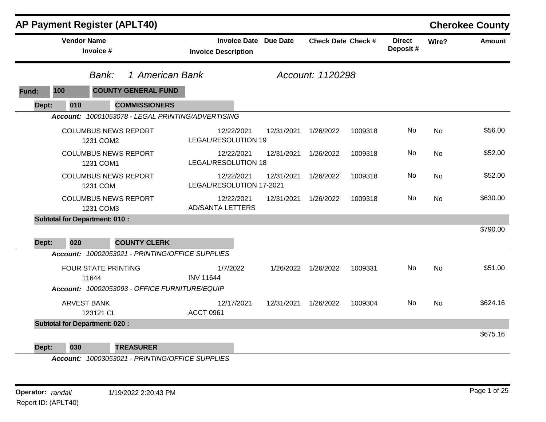|       |                    | <b>AP Payment Register (APLT40)</b>      |                                                   |                                          |                              |           |                           |                           |       | <b>Cherokee County</b> |
|-------|--------------------|------------------------------------------|---------------------------------------------------|------------------------------------------|------------------------------|-----------|---------------------------|---------------------------|-------|------------------------|
|       | <b>Vendor Name</b> | Invoice #                                |                                                   | <b>Invoice Description</b>               | <b>Invoice Date Due Date</b> |           | <b>Check Date Check #</b> | <b>Direct</b><br>Deposit# | Wire? | <b>Amount</b>          |
|       |                    | Bank:                                    | 1 American Bank                                   |                                          |                              |           | Account: 1120298          |                           |       |                        |
| Fund: | 100                |                                          | <b>COUNTY GENERAL FUND</b>                        |                                          |                              |           |                           |                           |       |                        |
| Dept: | 010                |                                          | <b>COMMISSIONERS</b>                              |                                          |                              |           |                           |                           |       |                        |
|       |                    |                                          | Account: 10001053078 - LEGAL PRINTING/ADVERTISING |                                          |                              |           |                           |                           |       |                        |
|       |                    | <b>COLUMBUS NEWS REPORT</b><br>1231 COM2 |                                                   | 12/22/2021<br>LEGAL/RESOLUTION 19        | 12/31/2021                   | 1/26/2022 | 1009318                   | No                        | No    | \$56.00                |
|       |                    | <b>COLUMBUS NEWS REPORT</b><br>1231 COM1 |                                                   | 12/22/2021<br><b>LEGAL/RESOLUTION 18</b> | 12/31/2021                   | 1/26/2022 | 1009318                   | No.                       | No    | \$52.00                |
|       |                    | <b>COLUMBUS NEWS REPORT</b><br>1231 COM  |                                                   | 12/22/2021<br>LEGAL/RESOLUTION 17-2021   | 12/31/2021                   | 1/26/2022 | 1009318                   | No                        | No    | \$52.00                |
|       |                    | <b>COLUMBUS NEWS REPORT</b><br>1231 COM3 |                                                   | 12/22/2021<br><b>AD/SANTA LETTERS</b>    | 12/31/2021                   | 1/26/2022 | 1009318                   | No.                       | No    | \$630.00               |
|       |                    | <b>Subtotal for Department: 010:</b>     |                                                   |                                          |                              |           |                           |                           |       |                        |
| Dept: | 020                |                                          | <b>COUNTY CLERK</b>                               |                                          |                              |           |                           |                           |       | \$790.00               |
|       |                    |                                          | Account: 10002053021 - PRINTING/OFFICE SUPPLIES   |                                          |                              |           |                           |                           |       |                        |
|       |                    | FOUR STATE PRINTING<br>11644             |                                                   | 1/7/2022<br><b>INV 11644</b>             | 1/26/2022                    | 1/26/2022 | 1009331                   | No.                       | No    | \$51.00                |
|       |                    |                                          | Account: 10002053093 - OFFICE FURNITURE/EQUIP     |                                          |                              |           |                           |                           |       |                        |
|       |                    | <b>ARVEST BANK</b><br>123121 CL          |                                                   | 12/17/2021<br><b>ACCT 0961</b>           | 12/31/2021                   | 1/26/2022 | 1009304                   | No.                       | No    | \$624.16               |
|       |                    | <b>Subtotal for Department: 020:</b>     |                                                   |                                          |                              |           |                           |                           |       |                        |
| Dept: | 030                |                                          | <b>TREASURER</b>                                  |                                          |                              |           |                           |                           |       | \$675.16               |

*Account: 10003053021 - PRINTING/OFFICE SUPPLIES*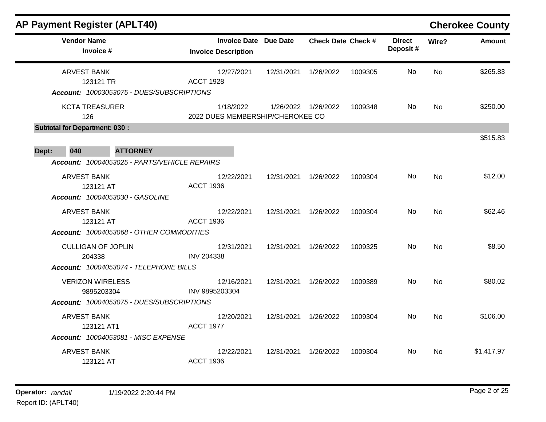| <b>AP Payment Register (APLT40)</b>                                                                                       |                                                            |            |                           |         |                           |                                                                                    | <b>Cherokee County</b> |
|---------------------------------------------------------------------------------------------------------------------------|------------------------------------------------------------|------------|---------------------------|---------|---------------------------|------------------------------------------------------------------------------------|------------------------|
| <b>Vendor Name</b><br>Invoice #                                                                                           | <b>Invoice Date Due Date</b><br><b>Invoice Description</b> |            | <b>Check Date Check #</b> |         | <b>Direct</b><br>Deposit# | Wire?                                                                              | <b>Amount</b>          |
| <b>ARVEST BANK</b><br>123121 TR<br>Account: 10003053075 - DUES/SUBSCRIPTIONS                                              | 12/27/2021<br><b>ACCT 1928</b>                             | 12/31/2021 | 1/26/2022                 | 1009305 | No.                       | <b>No</b><br>No<br>N <sub>o</sub><br><b>No</b><br>No<br>No<br>No<br>N <sub>o</sub> | \$265.83               |
| <b>KCTA TREASURER</b><br>126                                                                                              | 1/18/2022<br>2022 DUES MEMBERSHIP/CHEROKEE CO              |            | 1/26/2022 1/26/2022       | 1009348 | No.                       |                                                                                    | \$250.00               |
| <b>Subtotal for Department: 030:</b>                                                                                      |                                                            |            |                           |         |                           |                                                                                    | \$515.83               |
| 040<br><b>ATTORNEY</b><br>Dept:                                                                                           |                                                            |            |                           |         |                           |                                                                                    |                        |
| Account: 10004053025 - PARTS/VEHICLE REPAIRS<br><b>ARVEST BANK</b><br>123121 AT<br>Account: 10004053030 - GASOLINE        | 12/22/2021<br><b>ACCT 1936</b>                             | 12/31/2021 | 1/26/2022                 | 1009304 | No.                       |                                                                                    | \$12.00                |
| <b>ARVEST BANK</b><br>123121 AT                                                                                           | 12/22/2021<br><b>ACCT 1936</b>                             | 12/31/2021 | 1/26/2022                 | 1009304 | No.                       |                                                                                    | \$62.46                |
| Account: 10004053068 - OTHER COMMODITIES<br><b>CULLIGAN OF JOPLIN</b><br>204338<br>Account: 10004053074 - TELEPHONE BILLS | 12/31/2021<br><b>INV 204338</b>                            | 12/31/2021 | 1/26/2022                 | 1009325 | No.                       |                                                                                    | \$8.50                 |
| <b>VERIZON WIRELESS</b><br>9895203304                                                                                     | 12/16/2021<br>INV 9895203304                               | 12/31/2021 | 1/26/2022                 | 1009389 | No.                       |                                                                                    | \$80.02                |
| Account: 10004053075 - DUES/SUBSCRIPTIONS                                                                                 |                                                            |            |                           |         |                           |                                                                                    |                        |
| <b>ARVEST BANK</b><br>123121 AT1<br>Account: 10004053081 - MISC EXPENSE                                                   | 12/20/2021<br><b>ACCT 1977</b>                             | 12/31/2021 | 1/26/2022                 | 1009304 | No.                       |                                                                                    | \$106.00               |
| <b>ARVEST BANK</b><br>123121 AT                                                                                           | 12/22/2021<br><b>ACCT 1936</b>                             | 12/31/2021 | 1/26/2022                 | 1009304 | No.                       |                                                                                    | \$1,417.97             |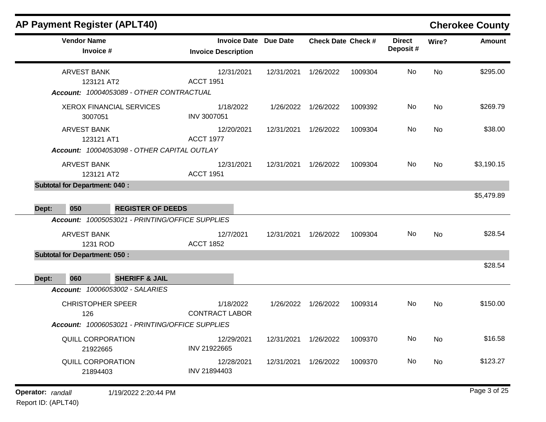| <b>AP Payment Register (APLT40)</b>                                              |                                                            |            |                           |         |                           |           | <b>Cherokee County</b> |
|----------------------------------------------------------------------------------|------------------------------------------------------------|------------|---------------------------|---------|---------------------------|-----------|------------------------|
| <b>Vendor Name</b><br>Invoice #                                                  | <b>Invoice Date Due Date</b><br><b>Invoice Description</b> |            | <b>Check Date Check #</b> |         | <b>Direct</b><br>Deposit# | Wire?     | <b>Amount</b>          |
| <b>ARVEST BANK</b><br>123121 AT2<br>Account: 10004053089 - OTHER CONTRACTUAL     | 12/31/2021<br><b>ACCT 1951</b>                             | 12/31/2021 | 1/26/2022                 | 1009304 | No                        | <b>No</b> | \$295.00               |
| <b>XEROX FINANCIAL SERVICES</b><br>3007051                                       | 1/18/2022<br>INV 3007051                                   |            | 1/26/2022 1/26/2022       | 1009392 | No.                       | <b>No</b> | \$269.79               |
| <b>ARVEST BANK</b><br>123121 AT1                                                 | 12/20/2021<br><b>ACCT 1977</b>                             | 12/31/2021 | 1/26/2022                 | 1009304 | No.                       | No        | \$38.00                |
| Account: 10004053098 - OTHER CAPITAL OUTLAY<br><b>ARVEST BANK</b><br>123121 AT2  | 12/31/2021<br><b>ACCT 1951</b>                             |            | 12/31/2021 1/26/2022      | 1009304 | No.                       | No        | \$3,190.15             |
| <b>Subtotal for Department: 040:</b><br>050<br><b>REGISTER OF DEEDS</b><br>Dept: |                                                            |            |                           |         |                           |           | \$5,479.89             |
| Account: 10005053021 - PRINTING/OFFICE SUPPLIES                                  |                                                            |            |                           |         |                           |           |                        |
| <b>ARVEST BANK</b><br>1231 ROD                                                   | 12/7/2021<br><b>ACCT 1852</b>                              | 12/31/2021 | 1/26/2022                 | 1009304 | No                        | <b>No</b> | \$28.54                |
| <b>Subtotal for Department: 050:</b>                                             |                                                            |            |                           |         |                           |           |                        |
| 060<br>Dept:<br><b>SHERIFF &amp; JAIL</b>                                        |                                                            |            |                           |         |                           |           | \$28.54                |
| Account: 10006053002 - SALARIES                                                  |                                                            |            |                           |         |                           |           |                        |
| <b>CHRISTOPHER SPEER</b><br>126                                                  | 1/18/2022<br><b>CONTRACT LABOR</b>                         | 1/26/2022  | 1/26/2022                 | 1009314 | No                        | <b>No</b> | \$150.00               |
| Account: 10006053021 - PRINTING/OFFICE SUPPLIES                                  |                                                            |            |                           |         |                           |           |                        |
| <b>QUILL CORPORATION</b><br>21922665                                             | 12/29/2021<br>INV 21922665                                 | 12/31/2021 | 1/26/2022                 | 1009370 | No.                       | <b>No</b> | \$16.58                |
| QUILL CORPORATION<br>21894403                                                    | 12/28/2021<br>INV 21894403                                 | 12/31/2021 | 1/26/2022                 | 1009370 | No                        | No        | \$123.27               |
|                                                                                  |                                                            |            |                           |         |                           |           |                        |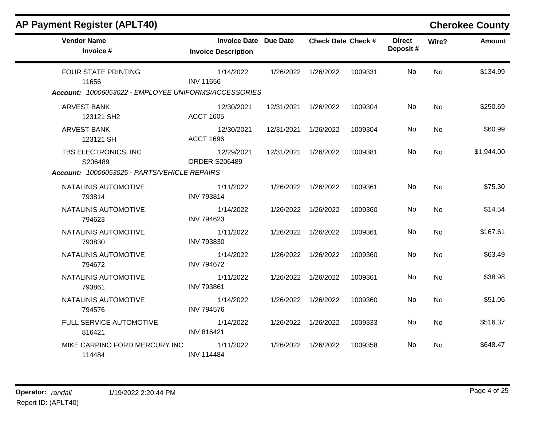| <b>AP Payment Register (APLT40)</b>                                                  |                                                     |                      |                           |         |                           |           | <b>Cherokee County</b> |
|--------------------------------------------------------------------------------------|-----------------------------------------------------|----------------------|---------------------------|---------|---------------------------|-----------|------------------------|
| <b>Vendor Name</b><br>Invoice #                                                      | Invoice Date Due Date<br><b>Invoice Description</b> |                      | <b>Check Date Check #</b> |         | <b>Direct</b><br>Deposit# | Wire?     | <b>Amount</b>          |
| FOUR STATE PRINTING<br>11656<br>Account: 10006053022 - EMPLOYEE UNIFORMS/ACCESSORIES | 1/14/2022<br><b>INV 11656</b>                       | 1/26/2022            | 1/26/2022                 | 1009331 | No                        | No        | \$134.99               |
| <b>ARVEST BANK</b><br>123121 SH2                                                     | 12/30/2021<br><b>ACCT 1605</b>                      | 12/31/2021 1/26/2022 |                           | 1009304 | No                        | <b>No</b> | \$250.69               |
| <b>ARVEST BANK</b><br>123121 SH                                                      | 12/30/2021<br><b>ACCT 1696</b>                      | 12/31/2021 1/26/2022 |                           | 1009304 | No                        | <b>No</b> | \$60.99                |
| TBS ELECTRONICS, INC<br>S206489<br>Account: 10006053025 - PARTS/VEHICLE REPAIRS      | 12/29/2021<br><b>ORDER S206489</b>                  | 12/31/2021 1/26/2022 |                           | 1009381 | No                        | <b>No</b> | \$1,944.00             |
| NATALINIS AUTOMOTIVE<br>793814                                                       | 1/11/2022<br><b>INV 793814</b>                      |                      | 1/26/2022 1/26/2022       | 1009361 | No                        | <b>No</b> | \$75.30                |
| NATALINIS AUTOMOTIVE<br>794623                                                       | 1/14/2022<br><b>INV 794623</b>                      |                      | 1/26/2022 1/26/2022       | 1009360 | No.                       | No        | \$14.54                |
| NATALINIS AUTOMOTIVE<br>793830                                                       | 1/11/2022<br><b>INV 793830</b>                      | 1/26/2022            | 1/26/2022                 | 1009361 | No                        | No        | \$167.61               |
| NATALINIS AUTOMOTIVE<br>794672                                                       | 1/14/2022<br><b>INV 794672</b>                      |                      | 1/26/2022 1/26/2022       | 1009360 | No                        | No        | \$63.49                |
| NATALINIS AUTOMOTIVE<br>793861                                                       | 1/11/2022<br><b>INV 793861</b>                      |                      | 1/26/2022 1/26/2022       | 1009361 | <b>No</b>                 | No        | \$38.98                |
| NATALINIS AUTOMOTIVE<br>794576                                                       | 1/14/2022<br><b>INV 794576</b>                      |                      | 1/26/2022 1/26/2022       | 1009360 | No                        | No        | \$51.06                |
| FULL SERVICE AUTOMOTIVE<br>816421                                                    | 1/14/2022<br><b>INV 816421</b>                      |                      | 1/26/2022 1/26/2022       | 1009333 | No                        | <b>No</b> | \$516.37               |
| MIKE CARPINO FORD MERCURY INC<br>114484                                              | 1/11/2022<br><b>INV 114484</b>                      | 1/26/2022            | 1/26/2022                 | 1009358 | No                        | No        | \$648.47               |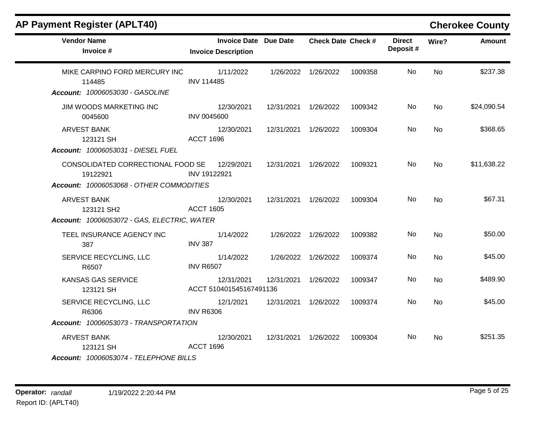| <b>Vendor Name</b><br>Invoice #                          | <b>Invoice Date Due Date</b><br><b>Invoice Description</b> |                      | <b>Check Date Check #</b> |         | <b>Direct</b><br>Deposit# | Wire?     | <b>Amount</b> |
|----------------------------------------------------------|------------------------------------------------------------|----------------------|---------------------------|---------|---------------------------|-----------|---------------|
| MIKE CARPINO FORD MERCURY INC<br>114485                  | 1/11/2022<br><b>INV 114485</b>                             |                      | 1/26/2022 1/26/2022       | 1009358 | <b>No</b>                 | <b>No</b> | \$237.38      |
| Account: 10006053030 - GASOLINE                          |                                                            |                      |                           |         |                           |           |               |
| JIM WOODS MARKETING INC<br>0045600                       | 12/30/2021<br>INV 0045600                                  | 12/31/2021           | 1/26/2022                 | 1009342 | No.                       | <b>No</b> | \$24,090.54   |
| <b>ARVEST BANK</b><br>123121 SH                          | 12/30/2021<br><b>ACCT 1696</b>                             | 12/31/2021           | 1/26/2022                 | 1009304 | No                        | No        | \$368.65      |
| Account: 10006053031 - DIESEL FUEL                       |                                                            |                      |                           |         |                           |           |               |
| CONSOLIDATED CORRECTIONAL FOOD SE 12/29/2021<br>19122921 | INV 19122921                                               | 12/31/2021           | 1/26/2022                 | 1009321 | <b>No</b>                 | <b>No</b> | \$11,638.22   |
| Account: 10006053068 - OTHER COMMODITIES                 |                                                            |                      |                           |         |                           |           |               |
| <b>ARVEST BANK</b><br>123121 SH2                         | 12/30/2021<br><b>ACCT 1605</b>                             | 12/31/2021 1/26/2022 |                           | 1009304 | <b>No</b>                 | <b>No</b> | \$67.31       |
| Account: 10006053072 - GAS, ELECTRIC, WATER              |                                                            |                      |                           |         |                           |           |               |
| TEEL INSURANCE AGENCY INC<br>387                         | 1/14/2022<br><b>INV 387</b>                                |                      | 1/26/2022 1/26/2022       | 1009382 | No                        | <b>No</b> | \$50.00       |
| SERVICE RECYCLING, LLC<br>R6507                          | 1/14/2022<br><b>INV R6507</b>                              |                      | 1/26/2022 1/26/2022       | 1009374 | No.                       | No        | \$45.00       |
| KANSAS GAS SERVICE<br>123121 SH                          | 12/31/2021<br>ACCT 510401545167491136                      | 12/31/2021           | 1/26/2022                 | 1009347 | No.                       | <b>No</b> | \$489.90      |
| SERVICE RECYCLING, LLC<br>R6306                          | 12/1/2021<br><b>INV R6306</b>                              | 12/31/2021           | 1/26/2022                 | 1009374 | No.                       | <b>No</b> | \$45.00       |
| Account: 10006053073 - TRANSPORTATION                    |                                                            |                      |                           |         |                           |           |               |
| <b>ARVEST BANK</b><br>123121 SH                          | 12/30/2021<br><b>ACCT 1696</b>                             | 12/31/2021           | 1/26/2022                 | 1009304 | No                        | <b>No</b> | \$251.35      |

*Account: 10006053074 - TELEPHONE BILLS*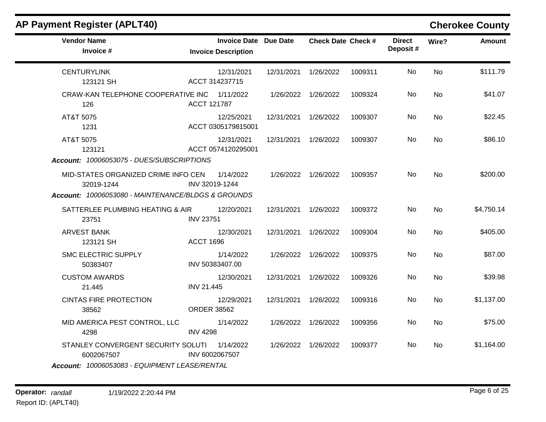| <b>Vendor Name</b><br>Invoice #                                                                                   | Invoice Date Due Date<br><b>Invoice Description</b> |                      | <b>Check Date Check #</b> |         | <b>Direct</b><br>Deposit# | Wire?     | <b>Amount</b> |
|-------------------------------------------------------------------------------------------------------------------|-----------------------------------------------------|----------------------|---------------------------|---------|---------------------------|-----------|---------------|
| <b>CENTURYLINK</b><br>123121 SH                                                                                   | 12/31/2021<br>ACCT 314237715                        | 12/31/2021 1/26/2022 |                           | 1009311 | No                        | <b>No</b> | \$111.79      |
| CRAW-KAN TELEPHONE COOPERATIVE INC 1/11/2022<br>126                                                               | ACCT 121787                                         |                      | 1/26/2022 1/26/2022       | 1009324 | No.                       | No        | \$41.07       |
| AT&T 5075<br>1231                                                                                                 | 12/25/2021<br>ACCT 0305179815001                    | 12/31/2021 1/26/2022 |                           | 1009307 | No.                       | No        | \$22.45       |
| AT&T 5075<br>123121<br>Account: 10006053075 - DUES/SUBSCRIPTIONS                                                  | 12/31/2021<br>ACCT 0574120295001                    | 12/31/2021 1/26/2022 |                           | 1009307 | No.                       | <b>No</b> | \$86.10       |
| MID-STATES ORGANIZED CRIME INFO CEN 1/14/2022<br>32019-1244<br>Account: 10006053080 - MAINTENANCE/BLDGS & GROUNDS | INV 32019-1244                                      |                      | 1/26/2022 1/26/2022       | 1009357 | No.                       | No        | \$200.00      |
| SATTERLEE PLUMBING HEATING & AIR<br>23751                                                                         | 12/20/2021<br><b>INV 23751</b>                      | 12/31/2021 1/26/2022 |                           | 1009372 | No.                       | No        | \$4,750.14    |
| <b>ARVEST BANK</b><br>123121 SH                                                                                   | 12/30/2021<br><b>ACCT 1696</b>                      | 12/31/2021 1/26/2022 |                           | 1009304 | No                        | <b>No</b> | \$405.00      |
| SMC ELECTRIC SUPPLY<br>50383407                                                                                   | 1/14/2022<br>INV 50383407.00                        |                      | 1/26/2022 1/26/2022       | 1009375 | No.                       | No        | \$87.00       |
| <b>CUSTOM AWARDS</b><br>21.445                                                                                    | 12/30/2021<br><b>INV 21.445</b>                     | 12/31/2021 1/26/2022 |                           | 1009326 | No                        | <b>No</b> | \$39.98       |
| <b>CINTAS FIRE PROTECTION</b><br>38562                                                                            | 12/29/2021<br><b>ORDER 38562</b>                    | 12/31/2021 1/26/2022 |                           | 1009316 | No.                       | No        | \$1,137.00    |
| MID AMERICA PEST CONTROL, LLC<br>4298                                                                             | 1/14/2022<br><b>INV 4298</b>                        |                      | 1/26/2022 1/26/2022       | 1009356 | No.                       | No        | \$75.00       |
| STANLEY CONVERGENT SECURITY SOLUTI<br>6002067507<br>Account: 10006053083 - EQUIPMENT LEASE/RENTAL                 | 1/14/2022<br>INV 6002067507                         |                      | 1/26/2022 1/26/2022       | 1009377 | No.                       | No        | \$1,164.00    |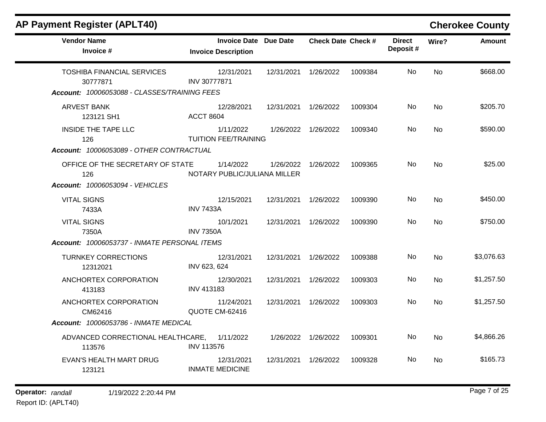| <b>AP Payment Register (APLT40)</b>                                                           |                                                            |                      |                           |         |                           |           | <b>Cherokee County</b> |
|-----------------------------------------------------------------------------------------------|------------------------------------------------------------|----------------------|---------------------------|---------|---------------------------|-----------|------------------------|
| <b>Vendor Name</b><br>Invoice #                                                               | <b>Invoice Date Due Date</b><br><b>Invoice Description</b> |                      | <b>Check Date Check #</b> |         | <b>Direct</b><br>Deposit# | Wire?     | <b>Amount</b>          |
| <b>TOSHIBA FINANCIAL SERVICES</b><br>30777871<br>Account: 10006053088 - CLASSES/TRAINING FEES | 12/31/2021<br><b>INV 30777871</b>                          | 12/31/2021           | 1/26/2022                 | 1009384 | <b>No</b>                 | <b>No</b> | \$668.00               |
| <b>ARVEST BANK</b><br>123121 SH1                                                              | 12/28/2021<br><b>ACCT 8604</b>                             | 12/31/2021           | 1/26/2022                 | 1009304 | No.                       | <b>No</b> | \$205.70               |
| INSIDE THE TAPE LLC<br>126<br>Account: 10006053089 - OTHER CONTRACTUAL                        | 1/11/2022<br><b>TUITION FEE/TRAINING</b>                   |                      | 1/26/2022 1/26/2022       | 1009340 | No.                       | No        | \$590.00               |
| OFFICE OF THE SECRETARY OF STATE<br>126<br>Account: 10006053094 - VEHICLES                    | 1/14/2022<br>NOTARY PUBLIC/JULIANA MILLER                  | 1/26/2022            | 1/26/2022                 | 1009365 | No.                       | No        | \$25.00                |
| <b>VITAL SIGNS</b><br>7433A                                                                   | 12/15/2021<br><b>INV 7433A</b>                             | 12/31/2021           | 1/26/2022                 | 1009390 | No.                       | No        | \$450.00               |
| <b>VITAL SIGNS</b><br>7350A                                                                   | 10/1/2021<br><b>INV 7350A</b>                              | 12/31/2021           | 1/26/2022                 | 1009390 | No                        | No        | \$750.00               |
| Account: 10006053737 - INMATE PERSONAL ITEMS                                                  |                                                            |                      |                           |         |                           |           |                        |
| <b>TURNKEY CORRECTIONS</b><br>12312021                                                        | 12/31/2021<br>INV 623, 624                                 | 12/31/2021 1/26/2022 |                           | 1009388 | No                        | No        | \$3,076.63             |
| ANCHORTEX CORPORATION<br>413183                                                               | 12/30/2021<br><b>INV 413183</b>                            | 12/31/2021           | 1/26/2022                 | 1009303 | No                        | No        | \$1,257.50             |
| ANCHORTEX CORPORATION<br>CM62416                                                              | 11/24/2021<br>QUOTE CM-62416                               | 12/31/2021           | 1/26/2022                 | 1009303 | No.                       | No.       | \$1,257.50             |
| <b>Account: 10006053786 - INMATE MEDICAL</b>                                                  |                                                            |                      |                           |         |                           |           |                        |
| ADVANCED CORRECTIONAL HEALTHCARE,<br>113576                                                   | 1/11/2022<br><b>INV 113576</b>                             |                      | 1/26/2022 1/26/2022       | 1009301 | No                        | <b>No</b> | \$4,866.26             |
| EVAN'S HEALTH MART DRUG<br>123121                                                             | 12/31/2021<br><b>INMATE MEDICINE</b>                       | 12/31/2021           | 1/26/2022                 | 1009328 | No.                       | No        | \$165.73               |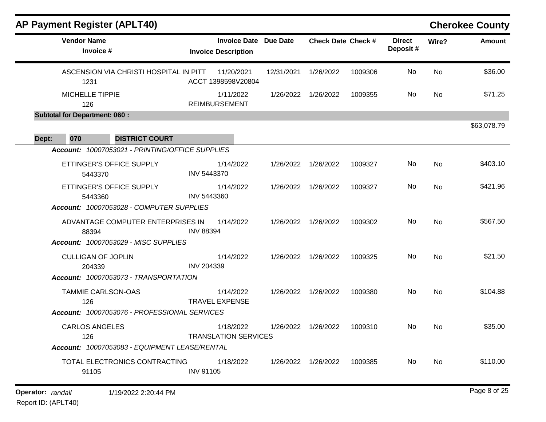| <b>AP Payment Register (APLT40)</b>             |                            |                                          |                     |                           |         |                           |           | <b>Cherokee County</b> |
|-------------------------------------------------|----------------------------|------------------------------------------|---------------------|---------------------------|---------|---------------------------|-----------|------------------------|
| <b>Vendor Name</b><br>Invoice #                 | <b>Invoice Description</b> | <b>Invoice Date</b>                      | Due Date            | <b>Check Date Check #</b> |         | <b>Direct</b><br>Deposit# | Wire?     | <b>Amount</b>          |
| ASCENSION VIA CHRISTI HOSPITAL IN PITT<br>1231  | ACCT 1398598V20804         | 11/20/2021                               | 12/31/2021          | 1/26/2022                 | 1009306 | No                        | No        | \$36.00                |
| <b>MICHELLE TIPPIE</b><br>126                   | <b>REIMBURSEMENT</b>       | 1/11/2022                                |                     | 1/26/2022 1/26/2022       | 1009355 | No.                       | No        | \$71.25                |
| <b>Subtotal for Department: 060:</b>            |                            |                                          |                     |                           |         |                           |           |                        |
| 070<br>Dept:                                    | <b>DISTRICT COURT</b>      |                                          |                     |                           |         |                           |           | \$63,078.79            |
| Account: 10007053021 - PRINTING/OFFICE SUPPLIES |                            |                                          |                     |                           |         |                           |           |                        |
| ETTINGER'S OFFICE SUPPLY<br>5443370             | INV 5443370                | 1/14/2022                                |                     | 1/26/2022 1/26/2022       | 1009327 | No                        | No        | \$403.10               |
| ETTINGER'S OFFICE SUPPLY<br>5443360             | INV 5443360                | 1/14/2022                                | 1/26/2022 1/26/2022 |                           | 1009327 | No                        | <b>No</b> | \$421.96               |
| Account: 10007053028 - COMPUTER SUPPLIES        |                            |                                          |                     |                           |         |                           |           |                        |
| ADVANTAGE COMPUTER ENTERPRISES IN<br>88394      | <b>INV 88394</b>           | 1/14/2022                                |                     | 1/26/2022 1/26/2022       | 1009302 | No                        | No        | \$567.50               |
| <b>Account: 10007053029 - MISC SUPPLIES</b>     |                            |                                          |                     |                           |         |                           |           |                        |
| <b>CULLIGAN OF JOPLIN</b><br>204339             | <b>INV 204339</b>          | 1/14/2022                                | 1/26/2022 1/26/2022 |                           | 1009325 | No                        | No        | \$21.50                |
| Account: 10007053073 - TRANSPORTATION           |                            |                                          |                     |                           |         |                           |           |                        |
| <b>TAMMIE CARLSON-OAS</b><br>126                | <b>TRAVEL EXPENSE</b>      | 1/14/2022                                |                     | 1/26/2022 1/26/2022       | 1009380 | No                        | No        | \$104.88               |
| Account: 10007053076 - PROFESSIONAL SERVICES    |                            |                                          |                     |                           |         |                           |           |                        |
| <b>CARLOS ANGELES</b><br>126                    |                            | 1/18/2022<br><b>TRANSLATION SERVICES</b> | 1/26/2022           | 1/26/2022                 | 1009310 | No.                       | No        | \$35.00                |
| Account: 10007053083 - EQUIPMENT LEASE/RENTAL   |                            |                                          |                     |                           |         |                           |           |                        |
| TOTAL ELECTRONICS CONTRACTING<br>91105          | <b>INV 91105</b>           | 1/18/2022                                |                     | 1/26/2022 1/26/2022       | 1009385 | No.                       | No        | \$110.00               |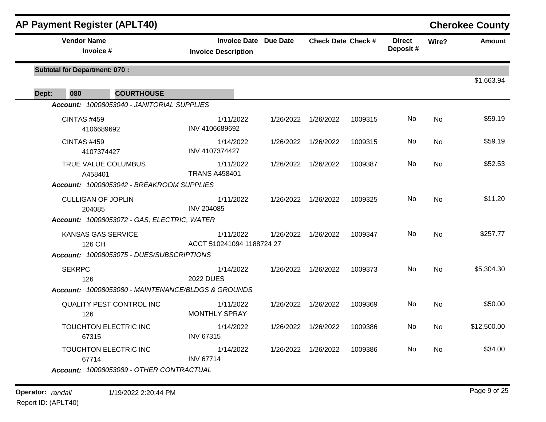| <b>AP Payment Register (APLT40)</b>  |                                             |                                                            |           |                           |         |                           |                | <b>Cherokee County</b> |
|--------------------------------------|---------------------------------------------|------------------------------------------------------------|-----------|---------------------------|---------|---------------------------|----------------|------------------------|
| <b>Vendor Name</b><br>Invoice #      |                                             | <b>Invoice Date Due Date</b><br><b>Invoice Description</b> |           | <b>Check Date Check #</b> |         | <b>Direct</b><br>Deposit# | Wire?          | <b>Amount</b>          |
| <b>Subtotal for Department: 070:</b> |                                             |                                                            |           |                           |         |                           |                | \$1,663.94             |
| 080<br>Dept:                         | <b>COURTHOUSE</b>                           |                                                            |           |                           |         |                           |                |                        |
|                                      | Account: 10008053040 - JANITORIAL SUPPLIES  |                                                            |           |                           |         |                           |                |                        |
| CINTAS #459<br>4106689692            |                                             | 1/11/2022<br>INV 4106689692                                |           | 1/26/2022 1/26/2022       | 1009315 | No.                       | No             | \$59.19                |
| CINTAS #459<br>4107374427            |                                             | 1/14/2022<br>INV 4107374427                                |           | 1/26/2022 1/26/2022       | 1009315 | No                        | No             | \$59.19                |
| TRUE VALUE COLUMBUS<br>A458401       |                                             | 1/11/2022<br><b>TRANS A458401</b>                          | 1/26/2022 | 1/26/2022                 | 1009387 | No                        | <b>No</b>      | \$52.53                |
|                                      | Account: 10008053042 - BREAKROOM SUPPLIES   |                                                            |           |                           |         |                           |                |                        |
| <b>CULLIGAN OF JOPLIN</b><br>204085  |                                             | 1/11/2022<br><b>INV 204085</b>                             |           | 1/26/2022 1/26/2022       | 1009325 | No                        | <b>No</b>      | \$11.20                |
|                                      | Account: 10008053072 - GAS, ELECTRIC, WATER |                                                            |           |                           |         |                           |                |                        |
| <b>KANSAS GAS SERVICE</b><br>126 CH  |                                             | 1/11/2022<br>ACCT 510241094 1188724 27                     |           | 1/26/2022 1/26/2022       | 1009347 | No                        | No             | \$257.77               |
|                                      | Account: 10008053075 - DUES/SUBSCRIPTIONS   |                                                            |           |                           |         |                           |                |                        |
| <b>SEKRPC</b><br>126                 |                                             | 1/14/2022<br><b>2022 DUES</b>                              |           | 1/26/2022 1/26/2022       | 1009373 | No.                       | No             | \$5,304.30             |
|                                      |                                             | Account: 10008053080 - MAINTENANCE/BLDGS & GROUNDS         |           |                           |         |                           |                |                        |
| 126                                  | QUALITY PEST CONTROL INC                    | 1/11/2022<br><b>MONTHLY SPRAY</b>                          |           | 1/26/2022 1/26/2022       | 1009369 | No.                       | <b>No</b>      | \$50.00                |
| TOUCHTON ELECTRIC INC<br>67315       |                                             | 1/14/2022<br><b>INV 67315</b>                              |           | 1/26/2022 1/26/2022       | 1009386 | No                        | <b>No</b>      | \$12,500.00            |
| TOUCHTON ELECTRIC INC<br>67714       |                                             | 1/14/2022<br><b>INV 67714</b>                              |           | 1/26/2022 1/26/2022       | 1009386 | No.                       | N <sub>0</sub> | \$34.00                |
|                                      | Account: 10008053089 - OTHER CONTRACTUAL    |                                                            |           |                           |         |                           |                |                        |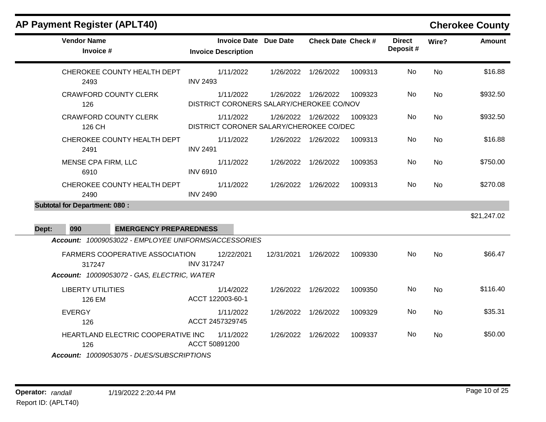| <b>Vendor Name</b><br>Invoice #                                                          | <b>Invoice Date Due Date</b><br><b>Invoice Description</b> |                      | <b>Check Date Check #</b> |         | <b>Direct</b><br>Deposit# | Wire?     | <b>Amount</b> |
|------------------------------------------------------------------------------------------|------------------------------------------------------------|----------------------|---------------------------|---------|---------------------------|-----------|---------------|
| CHEROKEE COUNTY HEALTH DEPT<br>2493                                                      | 1/11/2022<br><b>INV 2493</b>                               | 1/26/2022            | 1/26/2022                 | 1009313 | No                        | No        | \$16.88       |
| <b>CRAWFORD COUNTY CLERK</b><br>126                                                      | 1/11/2022<br>DISTRICT CORONERS SALARY/CHEROKEE CO/NOV      |                      | 1/26/2022 1/26/2022       | 1009323 | No.                       | <b>No</b> | \$932.50      |
| <b>CRAWFORD COUNTY CLERK</b><br>126 CH                                                   | 1/11/2022<br>DISTRICT CORONER SALARY/CHEROKEE CO/DEC       |                      | 1/26/2022 1/26/2022       | 1009323 | No                        | No        | \$932.50      |
| CHEROKEE COUNTY HEALTH DEPT<br>2491                                                      | 1/11/2022<br><b>INV 2491</b>                               |                      | 1/26/2022 1/26/2022       | 1009313 | No                        | No        | \$16.88       |
| MENSE CPA FIRM, LLC<br>6910                                                              | 1/11/2022<br><b>INV 6910</b>                               |                      | 1/26/2022 1/26/2022       | 1009353 | No                        | <b>No</b> | \$750.00      |
| CHEROKEE COUNTY HEALTH DEPT<br>2490                                                      | 1/11/2022<br><b>INV 2490</b>                               | 1/26/2022            | 1/26/2022                 | 1009313 | No                        | No        | \$270.08      |
| <b>Subtotal for Department: 080:</b>                                                     |                                                            |                      |                           |         |                           |           |               |
|                                                                                          |                                                            |                      |                           |         |                           |           | \$21,247.02   |
| 090<br><b>EMERGENCY PREPAREDNESS</b><br>Dept:                                            |                                                            |                      |                           |         |                           |           |               |
| Account: 10009053022 - EMPLOYEE UNIFORMS/ACCESSORIES                                     |                                                            |                      |                           |         |                           |           |               |
| FARMERS COOPERATIVE ASSOCIATION<br>317247<br>Account: 10009053072 - GAS, ELECTRIC, WATER | 12/22/2021<br><b>INV 317247</b>                            | 12/31/2021 1/26/2022 |                           | 1009330 | No                        | <b>No</b> | \$66.47       |
| <b>LIBERTY UTILITIES</b><br>126 EM                                                       | 1/14/2022<br>ACCT 122003-60-1                              |                      | 1/26/2022 1/26/2022       | 1009350 | No.                       | No        | \$116.40      |
| <b>EVERGY</b><br>126                                                                     | 1/11/2022<br>ACCT 2457329745                               |                      | 1/26/2022 1/26/2022       | 1009329 | No.                       | No        | \$35.31       |
| HEARTLAND ELECTRIC COOPERATIVE INC<br>126                                                | 1/11/2022<br>ACCT 50891200                                 | 1/26/2022            | 1/26/2022                 | 1009337 | No                        | No        | \$50.00       |
| Account: 10009053075 - DUES/SUBSCRIPTIONS                                                |                                                            |                      |                           |         |                           |           |               |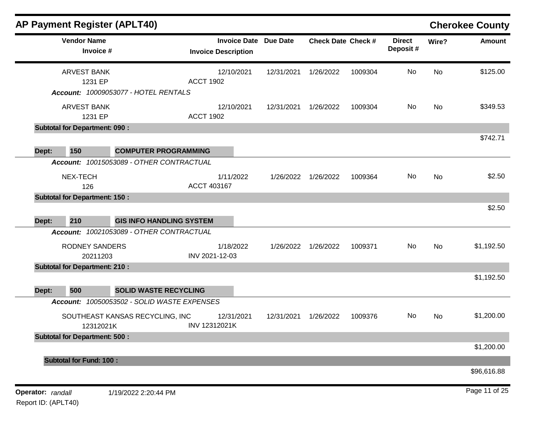|                   |                                      | <b>AP Payment Register (APLT40)</b>         |                                                            |            |                           |         |                           |           | <b>Cherokee County</b> |
|-------------------|--------------------------------------|---------------------------------------------|------------------------------------------------------------|------------|---------------------------|---------|---------------------------|-----------|------------------------|
|                   | <b>Vendor Name</b><br>Invoice #      |                                             | <b>Invoice Date Due Date</b><br><b>Invoice Description</b> |            | <b>Check Date Check #</b> |         | <b>Direct</b><br>Deposit# | Wire?     | <b>Amount</b>          |
|                   | <b>ARVEST BANK</b><br>1231 EP        |                                             | 12/10/2021<br><b>ACCT 1902</b>                             | 12/31/2021 | 1/26/2022                 | 1009304 | No                        | <b>No</b> | \$125.00               |
|                   | <b>ARVEST BANK</b><br>1231 EP        | Account: 10009053077 - HOTEL RENTALS        | 12/10/2021<br><b>ACCT 1902</b>                             | 12/31/2021 | 1/26/2022                 | 1009304 | No                        | <b>No</b> | \$349.53               |
|                   | <b>Subtotal for Department: 090:</b> |                                             |                                                            |            |                           |         |                           |           |                        |
| Dept:             | 150                                  | <b>COMPUTER PROGRAMMING</b>                 |                                                            |            |                           |         |                           |           | \$742.71               |
|                   |                                      | Account: 10015053089 - OTHER CONTRACTUAL    |                                                            |            |                           |         |                           |           |                        |
|                   | NEX-TECH<br>126                      |                                             | 1/11/2022<br>ACCT 403167                                   | 1/26/2022  | 1/26/2022                 | 1009364 | No                        | No        | \$2.50                 |
|                   | <b>Subtotal for Department: 150:</b> |                                             |                                                            |            |                           |         |                           |           |                        |
| Dept:             | 210                                  | <b>GIS INFO HANDLING SYSTEM</b>             |                                                            |            |                           |         |                           |           | \$2.50                 |
|                   |                                      | Account: 10021053089 - OTHER CONTRACTUAL    |                                                            |            |                           |         |                           |           |                        |
|                   | <b>RODNEY SANDERS</b><br>20211203    |                                             | 1/18/2022<br>INV 2021-12-03                                | 1/26/2022  | 1/26/2022                 | 1009371 | No                        | No        | \$1,192.50             |
|                   | <b>Subtotal for Department: 210:</b> |                                             |                                                            |            |                           |         |                           |           |                        |
| Dept:             | 500                                  | <b>SOLID WASTE RECYCLING</b>                |                                                            |            |                           |         |                           |           | \$1,192.50             |
|                   |                                      | Account: 10050053502 - SOLID WASTE EXPENSES |                                                            |            |                           |         |                           |           |                        |
|                   | 12312021K                            | SOUTHEAST KANSAS RECYCLING, INC             | 12/31/2021<br>INV 12312021K                                | 12/31/2021 | 1/26/2022                 | 1009376 | No                        | No        | \$1,200.00             |
|                   | <b>Subtotal for Department: 500:</b> |                                             |                                                            |            |                           |         |                           |           |                        |
|                   |                                      |                                             |                                                            |            |                           |         |                           |           | \$1,200.00             |
|                   | <b>Subtotal for Fund: 100:</b>       |                                             |                                                            |            |                           |         |                           |           |                        |
|                   |                                      |                                             |                                                            |            |                           |         |                           |           | \$96,616.88            |
| Operator: randall |                                      | 1/19/2022 2:20:44 PM                        |                                                            |            |                           |         |                           |           | Page 11 of 25          |

Report ID: (APLT40)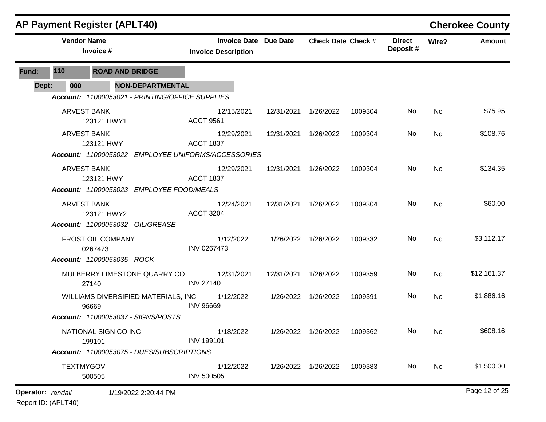|                   |     | AP Payment Register (APLT40)                         |                                                            |            |                           |         |                           |       | <b>Cherokee County</b> |
|-------------------|-----|------------------------------------------------------|------------------------------------------------------------|------------|---------------------------|---------|---------------------------|-------|------------------------|
|                   |     | <b>Vendor Name</b><br>Invoice #                      | <b>Invoice Date Due Date</b><br><b>Invoice Description</b> |            | <b>Check Date Check #</b> |         | <b>Direct</b><br>Deposit# | Wire? | <b>Amount</b>          |
| Fund:             | 110 | <b>ROAD AND BRIDGE</b>                               |                                                            |            |                           |         |                           |       |                        |
| Dept:             | 000 | <b>NON-DEPARTMENTAL</b>                              |                                                            |            |                           |         |                           |       |                        |
|                   |     | Account: 11000053021 - PRINTING/OFFICE SUPPLIES      |                                                            |            |                           |         |                           |       |                        |
|                   |     | ARVEST BANK<br>123121 HWY1                           | 12/15/2021<br><b>ACCT 9561</b>                             | 12/31/2021 | 1/26/2022                 | 1009304 | No                        | No    | \$75.95                |
|                   |     | <b>ARVEST BANK</b><br>123121 HWY                     | 12/29/2021<br><b>ACCT 1837</b>                             | 12/31/2021 | 1/26/2022                 | 1009304 | No                        | No    | \$108.76               |
|                   |     | Account: 11000053022 - EMPLOYEE UNIFORMS/ACCESSORIES |                                                            |            |                           |         |                           |       |                        |
|                   |     | <b>ARVEST BANK</b><br>123121 HWY                     | 12/29/2021<br><b>ACCT 1837</b>                             | 12/31/2021 | 1/26/2022                 | 1009304 | No                        | No    | \$134.35               |
|                   |     | Account: 11000053023 - EMPLOYEE FOOD/MEALS           |                                                            |            |                           |         |                           |       |                        |
|                   |     | <b>ARVEST BANK</b><br>123121 HWY2                    | 12/24/2021<br><b>ACCT 3204</b>                             | 12/31/2021 | 1/26/2022                 | 1009304 | No                        | No    | \$60.00                |
|                   |     | Account: 11000053032 - OIL/GREASE                    |                                                            |            |                           |         |                           |       |                        |
|                   |     | FROST OIL COMPANY<br>0267473                         | 1/12/2022<br>INV 0267473                                   | 1/26/2022  | 1/26/2022                 | 1009332 | No                        | No    | \$3,112.17             |
|                   |     | Account: 11000053035 - ROCK                          |                                                            |            |                           |         |                           |       |                        |
|                   |     | MULBERRY LIMESTONE QUARRY CO<br>27140                | 12/31/2021<br><b>INV 27140</b>                             | 12/31/2021 | 1/26/2022                 | 1009359 | No                        | No    | \$12,161.37            |
|                   |     | WILLIAMS DIVERSIFIED MATERIALS, INC.<br>96669        | 1/12/2022<br><b>INV 96669</b>                              | 1/26/2022  | 1/26/2022                 | 1009391 | No                        | No    | \$1,886.16             |
|                   |     | Account: 11000053037 - SIGNS/POSTS                   |                                                            |            |                           |         |                           |       |                        |
|                   |     | NATIONAL SIGN CO INC<br>199101                       | 1/18/2022<br><b>INV 199101</b>                             |            | 1/26/2022 1/26/2022       | 1009362 | No                        | No    | \$608.16               |
|                   |     | Account: 11000053075 - DUES/SUBSCRIPTIONS            |                                                            |            |                           |         |                           |       |                        |
|                   |     | <b>TEXTMYGOV</b><br>500505                           | 1/12/2022<br><b>INV 500505</b>                             |            | 1/26/2022 1/26/2022       | 1009383 | No                        | No    | \$1,500.00             |
| Operator: randall |     | 1/19/2022 2:20:44 PM                                 |                                                            |            |                           |         |                           |       | Page 12 of 25          |

Report ID: (APLT40)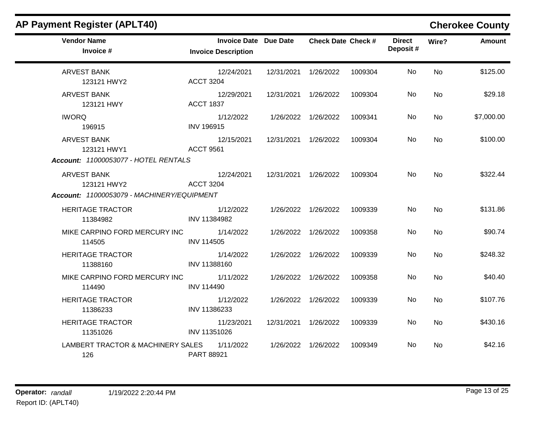| <b>Vendor Name</b><br>Invoice #                   | <b>Invoice Date Due Date</b><br><b>Invoice Description</b> |                      | <b>Check Date Check #</b> |         | <b>Direct</b><br>Deposit# | Wire?     | Amount     |
|---------------------------------------------------|------------------------------------------------------------|----------------------|---------------------------|---------|---------------------------|-----------|------------|
| <b>ARVEST BANK</b><br>123121 HWY2                 | 12/24/2021<br><b>ACCT 3204</b>                             | 12/31/2021 1/26/2022 |                           | 1009304 | No                        | <b>No</b> | \$125.00   |
| <b>ARVEST BANK</b><br>123121 HWY                  | 12/29/2021<br><b>ACCT 1837</b>                             | 12/31/2021 1/26/2022 |                           | 1009304 | No                        | <b>No</b> | \$29.18    |
| <b>IWORQ</b><br>196915                            | 1/12/2022<br><b>INV 196915</b>                             | 1/26/2022 1/26/2022  |                           | 1009341 | No                        | <b>No</b> | \$7,000.00 |
| <b>ARVEST BANK</b><br>123121 HWY1                 | 12/15/2021<br><b>ACCT 9561</b>                             | 12/31/2021 1/26/2022 |                           | 1009304 | No                        | <b>No</b> | \$100.00   |
| <b>Account: 11000053077 - HOTEL RENTALS</b>       |                                                            |                      |                           |         |                           |           |            |
| <b>ARVEST BANK</b><br>123121 HWY2                 | 12/24/2021<br><b>ACCT 3204</b>                             | 12/31/2021 1/26/2022 |                           | 1009304 | No.                       | <b>No</b> | \$322.44   |
| Account: 11000053079 - MACHINERY/EQUIPMENT        |                                                            |                      |                           |         |                           |           |            |
| <b>HERITAGE TRACTOR</b><br>11384982               | 1/12/2022<br>INV 11384982                                  |                      | 1/26/2022 1/26/2022       | 1009339 | No                        | <b>No</b> | \$131.86   |
| MIKE CARPINO FORD MERCURY INC 1/14/2022<br>114505 | <b>INV 114505</b>                                          |                      | 1/26/2022 1/26/2022       | 1009358 | No                        | <b>No</b> | \$90.74    |
| <b>HERITAGE TRACTOR</b><br>11388160               | 1/14/2022<br>INV 11388160                                  |                      | 1/26/2022 1/26/2022       | 1009339 | No                        | <b>No</b> | \$248.32   |
| MIKE CARPINO FORD MERCURY INC 1/11/2022<br>114490 | <b>INV 114490</b>                                          |                      | 1/26/2022 1/26/2022       | 1009358 | No                        | <b>No</b> | \$40.40    |
| <b>HERITAGE TRACTOR</b><br>11386233               | 1/12/2022<br>INV 11386233                                  |                      | 1/26/2022 1/26/2022       | 1009339 | No                        | <b>No</b> | \$107.76   |
| <b>HERITAGE TRACTOR</b><br>11351026               | 11/23/2021<br>INV 11351026                                 | 12/31/2021 1/26/2022 |                           | 1009339 | No                        | <b>No</b> | \$430.16   |
| LAMBERT TRACTOR & MACHINERY SALES<br>126          | 1/11/2022<br>PART 88921                                    |                      | 1/26/2022 1/26/2022       | 1009349 | No.                       | No        | \$42.16    |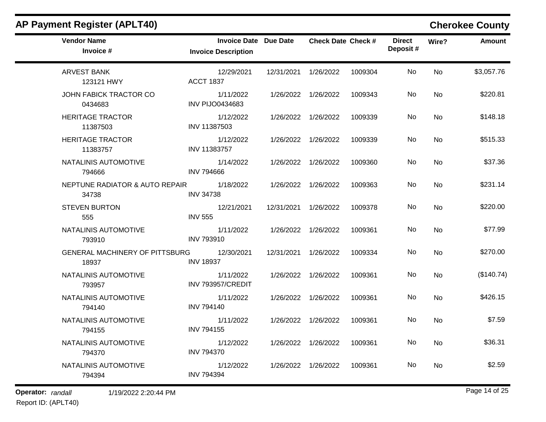| <b>AP Payment Register (APLT40)</b>            |                                                            |            |                           |         |                            |           | <b>Cherokee County</b> |
|------------------------------------------------|------------------------------------------------------------|------------|---------------------------|---------|----------------------------|-----------|------------------------|
| <b>Vendor Name</b><br>Invoice #                | <b>Invoice Date Due Date</b><br><b>Invoice Description</b> |            | <b>Check Date Check #</b> |         | <b>Direct</b><br>Deposit # | Wire?     | <b>Amount</b>          |
| <b>ARVEST BANK</b><br>123121 HWY               | 12/29/2021<br><b>ACCT 1837</b>                             | 12/31/2021 | 1/26/2022                 | 1009304 | No                         | <b>No</b> | \$3,057.76             |
| JOHN FABICK TRACTOR CO<br>0434683              | 1/11/2022<br><b>INV PIJO0434683</b>                        | 1/26/2022  | 1/26/2022                 | 1009343 | No                         | No        | \$220.81               |
| <b>HERITAGE TRACTOR</b><br>11387503            | 1/12/2022<br>INV 11387503                                  | 1/26/2022  | 1/26/2022                 | 1009339 | No                         | No        | \$148.18               |
| <b>HERITAGE TRACTOR</b><br>11383757            | 1/12/2022<br>INV 11383757                                  | 1/26/2022  | 1/26/2022                 | 1009339 | No                         | No        | \$515.33               |
| NATALINIS AUTOMOTIVE<br>794666                 | 1/14/2022<br><b>INV 794666</b>                             | 1/26/2022  | 1/26/2022                 | 1009360 | No                         | No        | \$37.36                |
| NEPTUNE RADIATOR & AUTO REPAIR<br>34738        | 1/18/2022<br><b>INV 34738</b>                              | 1/26/2022  | 1/26/2022                 | 1009363 | No                         | No        | \$231.14               |
| <b>STEVEN BURTON</b><br>555                    | 12/21/2021<br><b>INV 555</b>                               | 12/31/2021 | 1/26/2022                 | 1009378 | No                         | No        | \$220.00               |
| NATALINIS AUTOMOTIVE<br>793910                 | 1/11/2022<br><b>INV 793910</b>                             |            | 1/26/2022 1/26/2022       | 1009361 | No                         | No        | \$77.99                |
| <b>GENERAL MACHINERY OF PITTSBURG</b><br>18937 | 12/30/2021<br><b>INV 18937</b>                             | 12/31/2021 | 1/26/2022                 | 1009334 | No                         | No        | \$270.00               |
| NATALINIS AUTOMOTIVE<br>793957                 | 1/11/2022<br>INV 793957/CREDIT                             | 1/26/2022  | 1/26/2022                 | 1009361 | No                         | No        | (\$140.74)             |
| NATALINIS AUTOMOTIVE<br>794140                 | 1/11/2022<br><b>INV 794140</b>                             | 1/26/2022  | 1/26/2022                 | 1009361 | No                         | No        | \$426.15               |
| NATALINIS AUTOMOTIVE<br>794155                 | 1/11/2022<br><b>INV 794155</b>                             | 1/26/2022  | 1/26/2022                 | 1009361 | No                         | No        | \$7.59                 |
| NATALINIS AUTOMOTIVE<br>794370                 | 1/12/2022<br><b>INV 794370</b>                             |            | 1/26/2022 1/26/2022       | 1009361 | No                         | No        | \$36.31                |
| NATALINIS AUTOMOTIVE<br>794394                 | 1/12/2022<br><b>INV 794394</b>                             |            | 1/26/2022 1/26/2022       | 1009361 | No                         | No        | \$2.59                 |

**Operator:** randall 1/19/2022 2:20:44 PM

Report ID: (APLT40)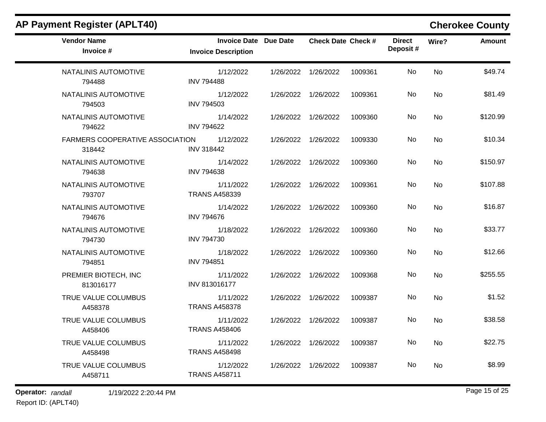| <b>Vendor Name</b><br>Invoice #                  | Invoice Date Due Date<br><b>Invoice Description</b> | <b>Check Date Check #</b> |         | <b>Direct</b><br>Deposit# | Wire?     | <b>Amount</b> |
|--------------------------------------------------|-----------------------------------------------------|---------------------------|---------|---------------------------|-----------|---------------|
| NATALINIS AUTOMOTIVE<br>794488                   | 1/12/2022<br><b>INV 794488</b>                      | 1/26/2022 1/26/2022       | 1009361 | No.                       | <b>No</b> | \$49.74       |
| NATALINIS AUTOMOTIVE<br>794503                   | 1/12/2022<br><b>INV 794503</b>                      | 1/26/2022 1/26/2022       | 1009361 | No.                       | <b>No</b> | \$81.49       |
| NATALINIS AUTOMOTIVE<br>794622                   | 1/14/2022<br><b>INV 794622</b>                      | 1/26/2022 1/26/2022       | 1009360 | No                        | <b>No</b> | \$120.99      |
| <b>FARMERS COOPERATIVE ASSOCIATION</b><br>318442 | 1/12/2022<br><b>INV 318442</b>                      | 1/26/2022 1/26/2022       | 1009330 | No.                       | <b>No</b> | \$10.34       |
| NATALINIS AUTOMOTIVE<br>794638                   | 1/14/2022<br><b>INV 794638</b>                      | 1/26/2022 1/26/2022       | 1009360 | No.                       | <b>No</b> | \$150.97      |
| NATALINIS AUTOMOTIVE<br>793707                   | 1/11/2022<br><b>TRANS A458339</b>                   | 1/26/2022 1/26/2022       | 1009361 | No                        | <b>No</b> | \$107.88      |
| NATALINIS AUTOMOTIVE<br>794676                   | 1/14/2022<br><b>INV 794676</b>                      | 1/26/2022 1/26/2022       | 1009360 | No.                       | <b>No</b> | \$16.87       |
| NATALINIS AUTOMOTIVE<br>794730                   | 1/18/2022<br><b>INV 794730</b>                      | 1/26/2022 1/26/2022       | 1009360 | No                        | <b>No</b> | \$33.77       |
| NATALINIS AUTOMOTIVE<br>794851                   | 1/18/2022<br><b>INV 794851</b>                      | 1/26/2022 1/26/2022       | 1009360 | No                        | <b>No</b> | \$12.66       |
| PREMIER BIOTECH, INC<br>813016177                | 1/11/2022<br>INV 813016177                          | 1/26/2022 1/26/2022       | 1009368 | No                        | <b>No</b> | \$255.55      |
| TRUE VALUE COLUMBUS<br>A458378                   | 1/11/2022<br><b>TRANS A458378</b>                   | 1/26/2022 1/26/2022       | 1009387 | No                        | <b>No</b> | \$1.52        |
| TRUE VALUE COLUMBUS<br>A458406                   | 1/11/2022<br><b>TRANS A458406</b>                   | 1/26/2022 1/26/2022       | 1009387 | No.                       | No        | \$38.58       |
| TRUE VALUE COLUMBUS<br>A458498                   | 1/11/2022<br><b>TRANS A458498</b>                   | 1/26/2022 1/26/2022       | 1009387 | No.                       | <b>No</b> | \$22.75       |
| TRUE VALUE COLUMBUS<br>A458711                   | 1/12/2022<br><b>TRANS A458711</b>                   | 1/26/2022 1/26/2022       | 1009387 | No.                       | No.       | \$8.99        |
|                                                  |                                                     |                           |         |                           |           |               |

**Operator:** randall 1/19/2022 2:20:44 PM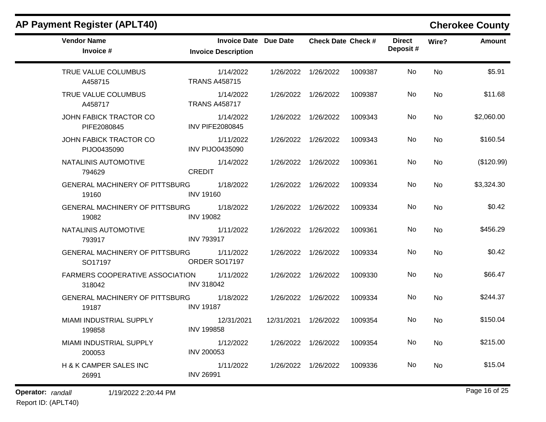| <b>Vendor Name</b><br>Invoice #                   | Invoice Date Due Date<br><b>Invoice Description</b> |                      | <b>Check Date Check #</b> |         | <b>Direct</b><br>Deposit# | Wire?     | Amount     |
|---------------------------------------------------|-----------------------------------------------------|----------------------|---------------------------|---------|---------------------------|-----------|------------|
| TRUE VALUE COLUMBUS<br>A458715                    | 1/14/2022<br><b>TRANS A458715</b>                   |                      | 1/26/2022 1/26/2022       | 1009387 | No.                       | No        | \$5.91     |
| TRUE VALUE COLUMBUS<br>A458717                    | 1/14/2022<br><b>TRANS A458717</b>                   |                      | 1/26/2022 1/26/2022       | 1009387 | No                        | No        | \$11.68    |
| JOHN FABICK TRACTOR CO<br>PIFE2080845             | 1/14/2022<br><b>INV PIFE2080845</b>                 | 1/26/2022 1/26/2022  |                           | 1009343 | No                        | No        | \$2,060.00 |
| JOHN FABICK TRACTOR CO<br>PIJO0435090             | 1/11/2022<br><b>INV PIJO0435090</b>                 | 1/26/2022 1/26/2022  |                           | 1009343 | No                        | <b>No</b> | \$160.54   |
| NATALINIS AUTOMOTIVE<br>794629                    | 1/14/2022<br><b>CREDIT</b>                          | 1/26/2022 1/26/2022  |                           | 1009361 | No                        | <b>No</b> | (\$120.99) |
| GENERAL MACHINERY OF PITTSBURG<br>19160           | 1/18/2022<br><b>INV 19160</b>                       |                      | 1/26/2022 1/26/2022       | 1009334 | No                        | No        | \$3,324.30 |
| <b>GENERAL MACHINERY OF PITTSBURG</b><br>19082    | 1/18/2022<br><b>INV 19082</b>                       | 1/26/2022 1/26/2022  |                           | 1009334 | No                        | No        | \$0.42     |
| NATALINIS AUTOMOTIVE<br>793917                    | 1/11/2022<br><b>INV 793917</b>                      | 1/26/2022 1/26/2022  |                           | 1009361 | No                        | No        | \$456.29   |
| <b>GENERAL MACHINERY OF PITTSBURG</b><br>SO17197  | 1/11/2022<br><b>ORDER SO17197</b>                   |                      | 1/26/2022 1/26/2022       | 1009334 | No.                       | <b>No</b> | \$0.42     |
| <b>FARMERS COOPERATIVE ASSOCIATION</b><br>318042  | 1/11/2022<br><b>INV 318042</b>                      |                      | 1/26/2022 1/26/2022       | 1009330 | No.                       | No        | \$66.47    |
| GENERAL MACHINERY OF PITTSBURG 1/18/2022<br>19187 | <b>INV 19187</b>                                    |                      | 1/26/2022 1/26/2022       | 1009334 | No                        | <b>No</b> | \$244.37   |
| MIAMI INDUSTRIAL SUPPLY<br>199858                 | 12/31/2021<br><b>INV 199858</b>                     | 12/31/2021 1/26/2022 |                           | 1009354 | No.                       | <b>No</b> | \$150.04   |
| MIAMI INDUSTRIAL SUPPLY<br>200053                 | 1/12/2022<br>INV 200053                             |                      | 1/26/2022 1/26/2022       | 1009354 | No.                       | No        | \$215.00   |
| H & K CAMPER SALES INC<br>26991                   | 1/11/2022<br><b>INV 26991</b>                       | 1/26/2022 1/26/2022  |                           | 1009336 | No.                       | <b>No</b> | \$15.04    |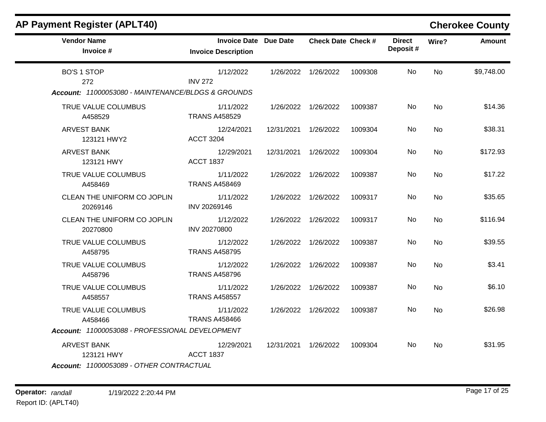| <b>AP Payment Register (APLT40)</b>                                          |                                                            |                      |                           |         |                           |           | <b>Cherokee County</b> |
|------------------------------------------------------------------------------|------------------------------------------------------------|----------------------|---------------------------|---------|---------------------------|-----------|------------------------|
| <b>Vendor Name</b><br>Invoice #                                              | <b>Invoice Date Due Date</b><br><b>Invoice Description</b> |                      | <b>Check Date Check #</b> |         | <b>Direct</b><br>Deposit# | Wire?     | Amount                 |
| <b>BO'S 1 STOP</b><br>272                                                    | 1/12/2022<br><b>INV 272</b>                                |                      | 1/26/2022 1/26/2022       | 1009308 | No.                       | <b>No</b> | \$9,748.00             |
| Account: 11000053080 - MAINTENANCE/BLDGS & GROUNDS                           |                                                            |                      |                           |         |                           |           |                        |
| TRUE VALUE COLUMBUS<br>A458529                                               | 1/11/2022<br><b>TRANS A458529</b>                          |                      | 1/26/2022 1/26/2022       | 1009387 | No.                       | <b>No</b> | \$14.36                |
| <b>ARVEST BANK</b><br>123121 HWY2                                            | 12/24/2021<br><b>ACCT 3204</b>                             | 12/31/2021 1/26/2022 |                           | 1009304 | No.                       | No        | \$38.31                |
| <b>ARVEST BANK</b><br>123121 HWY                                             | 12/29/2021<br><b>ACCT 1837</b>                             | 12/31/2021 1/26/2022 |                           | 1009304 | No                        | <b>No</b> | \$172.93               |
| TRUE VALUE COLUMBUS<br>A458469                                               | 1/11/2022<br><b>TRANS A458469</b>                          |                      | 1/26/2022 1/26/2022       | 1009387 | No.                       | No        | \$17.22                |
| CLEAN THE UNIFORM CO JOPLIN<br>20269146                                      | 1/11/2022<br>INV 20269146                                  |                      | 1/26/2022 1/26/2022       | 1009317 | No.                       | <b>No</b> | \$35.65                |
| CLEAN THE UNIFORM CO JOPLIN<br>20270800                                      | 1/12/2022<br>INV 20270800                                  |                      | 1/26/2022 1/26/2022       | 1009317 | No.                       | <b>No</b> | \$116.94               |
| TRUE VALUE COLUMBUS<br>A458795                                               | 1/12/2022<br><b>TRANS A458795</b>                          |                      | 1/26/2022 1/26/2022       | 1009387 | No                        | No.       | \$39.55                |
| TRUE VALUE COLUMBUS<br>A458796                                               | 1/12/2022<br><b>TRANS A458796</b>                          |                      | 1/26/2022 1/26/2022       | 1009387 | No                        | No        | \$3.41                 |
| TRUE VALUE COLUMBUS<br>A458557                                               | 1/11/2022<br><b>TRANS A458557</b>                          |                      | 1/26/2022 1/26/2022       | 1009387 | No.                       | <b>No</b> | \$6.10                 |
| TRUE VALUE COLUMBUS<br>A458466                                               | 1/11/2022<br><b>TRANS A458466</b>                          | 1/26/2022            | 1/26/2022                 | 1009387 | No.                       | No        | \$26.98                |
| Account: 11000053088 - PROFESSIONAL DEVELOPMENT                              |                                                            |                      |                           |         |                           |           |                        |
| <b>ARVEST BANK</b><br>123121 HWY<br>Account: 11000053089 - OTHER CONTRACTUAL | 12/29/2021<br><b>ACCT 1837</b>                             | 12/31/2021 1/26/2022 |                           | 1009304 | No.                       | No        | \$31.95                |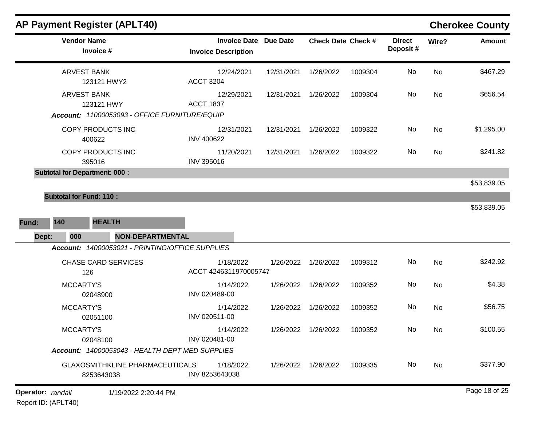| <b>Vendor Name</b><br>Invoice #                                                   | <b>Invoice Date Due Date</b><br><b>Invoice Description</b> |            | <b>Check Date Check #</b> |         | <b>Direct</b><br>Deposit# | Wire?     | <b>Amount</b> |
|-----------------------------------------------------------------------------------|------------------------------------------------------------|------------|---------------------------|---------|---------------------------|-----------|---------------|
| <b>ARVEST BANK</b><br>123121 HWY2                                                 | 12/24/2021<br><b>ACCT 3204</b>                             | 12/31/2021 | 1/26/2022                 | 1009304 | No                        | <b>No</b> | \$467.29      |
| <b>ARVEST BANK</b><br>123121 HWY<br>Account: 11000053093 - OFFICE FURNITURE/EQUIP | 12/29/2021<br><b>ACCT 1837</b>                             | 12/31/2021 | 1/26/2022                 | 1009304 | No                        | <b>No</b> | \$656.54      |
| COPY PRODUCTS INC<br>400622                                                       | 12/31/2021<br><b>INV 400622</b>                            | 12/31/2021 | 1/26/2022                 | 1009322 | No                        | <b>No</b> | \$1,295.00    |
| COPY PRODUCTS INC<br>395016                                                       | 11/20/2021<br><b>INV 395016</b>                            | 12/31/2021 | 1/26/2022                 | 1009322 | No                        | <b>No</b> | \$241.82      |
| <b>Subtotal for Department: 000:</b>                                              |                                                            |            |                           |         |                           |           |               |
|                                                                                   |                                                            |            |                           |         |                           |           | \$53,839.05   |
| <b>Subtotal for Fund: 110:</b>                                                    |                                                            |            |                           |         |                           |           |               |
|                                                                                   |                                                            |            |                           |         |                           |           | \$53,839.05   |
| 140<br><b>HEALTH</b><br>Fund:                                                     |                                                            |            |                           |         |                           |           |               |
| 000<br><b>NON-DEPARTMENTAL</b>                                                    |                                                            |            |                           |         |                           |           |               |
| Dept:<br>Account: 14000053021 - PRINTING/OFFICE SUPPLIES                          |                                                            |            |                           |         |                           |           |               |
|                                                                                   |                                                            |            |                           |         |                           |           |               |
| <b>CHASE CARD SERVICES</b><br>126                                                 | 1/18/2022<br>ACCT 4246311970005747                         | 1/26/2022  | 1/26/2022                 | 1009312 | No                        | <b>No</b> | \$242.92      |
| <b>MCCARTY'S</b><br>02048900                                                      | 1/14/2022<br>INV 020489-00                                 | 1/26/2022  | 1/26/2022                 | 1009352 | No                        | No        | \$4.38        |
| <b>MCCARTY'S</b><br>02051100                                                      | 1/14/2022<br>INV 020511-00                                 | 1/26/2022  | 1/26/2022                 | 1009352 | No                        | <b>No</b> | \$56.75       |
| <b>MCCARTY'S</b><br>02048100<br>Account: 14000053043 - HEALTH DEPT MED SUPPLIES   | 1/14/2022<br>INV 020481-00                                 |            | 1/26/2022 1/26/2022       | 1009352 | No                        | <b>No</b> | \$100.55      |
| <b>GLAXOSMITHKLINE PHARMACEUTICALS</b><br>8253643038                              | 1/18/2022<br>INV 8253643038                                | 1/26/2022  | 1/26/2022                 | 1009335 | No.                       | No        | \$377.90      |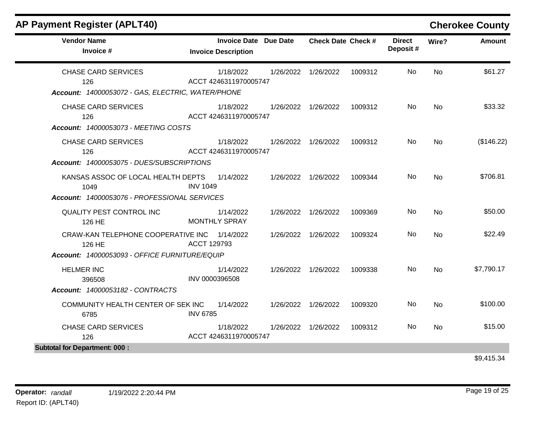| <b>AP Payment Register (APLT40)</b>                                                           |                                                            |           |                           |         |                           |           | <b>Cherokee County</b> |
|-----------------------------------------------------------------------------------------------|------------------------------------------------------------|-----------|---------------------------|---------|---------------------------|-----------|------------------------|
| <b>Vendor Name</b><br>Invoice #                                                               | <b>Invoice Date Due Date</b><br><b>Invoice Description</b> |           | <b>Check Date Check #</b> |         | <b>Direct</b><br>Deposit# | Wire?     | <b>Amount</b>          |
| <b>CHASE CARD SERVICES</b><br>126<br>Account: 14000053072 - GAS, ELECTRIC, WATER/PHONE        | 1/18/2022<br>ACCT 4246311970005747                         |           | 1/26/2022 1/26/2022       | 1009312 | No.                       | No        | \$61.27                |
| <b>CHASE CARD SERVICES</b><br>126<br><b>Account: 14000053073 - MEETING COSTS</b>              | 1/18/2022<br>ACCT 4246311970005747                         |           | 1/26/2022 1/26/2022       | 1009312 | No.                       | <b>No</b> | \$33.32                |
| <b>CHASE CARD SERVICES</b><br>126<br>Account: 14000053075 - DUES/SUBSCRIPTIONS                | 1/18/2022<br>ACCT 4246311970005747                         |           | 1/26/2022 1/26/2022       | 1009312 | No                        | <b>No</b> | (\$146.22)             |
| KANSAS ASSOC OF LOCAL HEALTH DEPTS<br>1049<br>Account: 14000053076 - PROFESSIONAL SERVICES    | 1/14/2022<br><b>INV 1049</b>                               |           | 1/26/2022 1/26/2022       | 1009344 | No.                       | <b>No</b> | \$706.81               |
| QUALITY PEST CONTROL INC<br>126 HE                                                            | 1/14/2022<br><b>MONTHLY SPRAY</b>                          |           | 1/26/2022 1/26/2022       | 1009369 | No                        | <b>No</b> | \$50.00                |
| CRAW-KAN TELEPHONE COOPERATIVE INC<br>126 HE<br>Account: 14000053093 - OFFICE FURNITURE/EQUIP | 1/14/2022<br>ACCT 129793                                   |           | 1/26/2022 1/26/2022       | 1009324 | No.                       | <b>No</b> | \$22.49                |
| <b>HELMER INC</b><br>396508<br>Account: 14000053182 - CONTRACTS                               | 1/14/2022<br>INV 0000396508                                |           | 1/26/2022 1/26/2022       | 1009338 | No.                       | <b>No</b> | \$7,790.17             |
| COMMUNITY HEALTH CENTER OF SEK INC<br>6785                                                    | 1/14/2022<br><b>INV 6785</b>                               | 1/26/2022 | 1/26/2022                 | 1009320 | No.                       | <b>No</b> | \$100.00               |
| <b>CHASE CARD SERVICES</b><br>126                                                             | 1/18/2022<br>ACCT 4246311970005747                         | 1/26/2022 | 1/26/2022                 | 1009312 | No.                       | No        | \$15.00                |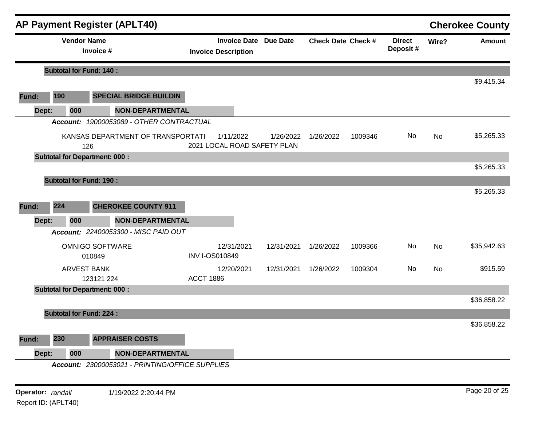|       | <b>AP Payment Register (APLT40)</b>  |                                 |                                                 |                       |                                                            |            |                           |         |                           |           | <b>Cherokee County</b> |
|-------|--------------------------------------|---------------------------------|-------------------------------------------------|-----------------------|------------------------------------------------------------|------------|---------------------------|---------|---------------------------|-----------|------------------------|
|       |                                      | <b>Vendor Name</b><br>Invoice # |                                                 |                       | <b>Invoice Date Due Date</b><br><b>Invoice Description</b> |            | <b>Check Date Check #</b> |         | <b>Direct</b><br>Deposit# | Wire?     | <b>Amount</b>          |
|       | <b>Subtotal for Fund: 140:</b>       |                                 |                                                 |                       |                                                            |            |                           |         |                           |           |                        |
|       |                                      |                                 |                                                 |                       |                                                            |            |                           |         |                           |           | \$9,415.34             |
| Fund: | 190                                  |                                 | <b>SPECIAL BRIDGE BUILDIN</b>                   |                       |                                                            |            |                           |         |                           |           |                        |
| Dept: | 000                                  |                                 | <b>NON-DEPARTMENTAL</b>                         |                       |                                                            |            |                           |         |                           |           |                        |
|       |                                      |                                 | Account: 19000053089 - OTHER CONTRACTUAL        |                       |                                                            |            |                           |         |                           |           |                        |
|       |                                      |                                 | KANSAS DEPARTMENT OF TRANSPORTATI               |                       | 1/11/2022                                                  | 1/26/2022  | 1/26/2022                 | 1009346 | No                        | <b>No</b> | \$5,265.33             |
|       | <b>Subtotal for Department: 000:</b> | 126                             |                                                 |                       | 2021 LOCAL ROAD SAFETY PLAN                                |            |                           |         |                           |           |                        |
|       |                                      |                                 |                                                 |                       |                                                            |            |                           |         |                           |           | \$5,265.33             |
|       | <b>Subtotal for Fund: 190:</b>       |                                 |                                                 |                       |                                                            |            |                           |         |                           |           |                        |
|       |                                      |                                 |                                                 |                       |                                                            |            |                           |         |                           |           | \$5,265.33             |
| Fund: | 224                                  |                                 | <b>CHEROKEE COUNTY 911</b>                      |                       |                                                            |            |                           |         |                           |           |                        |
| Dept: | 000                                  |                                 | <b>NON-DEPARTMENTAL</b>                         |                       |                                                            |            |                           |         |                           |           |                        |
|       |                                      |                                 | Account: 22400053300 - MISC PAID OUT            |                       |                                                            |            |                           |         |                           |           |                        |
|       |                                      | <b>OMNIGO SOFTWARE</b>          |                                                 |                       | 12/31/2021                                                 | 12/31/2021 | 1/26/2022                 | 1009366 | No                        | No        | \$35,942.63            |
|       |                                      | 010849                          |                                                 | <b>INV I-OS010849</b> |                                                            |            |                           |         |                           |           |                        |
|       |                                      | <b>ARVEST BANK</b>              |                                                 |                       | 12/20/2021                                                 | 12/31/2021 | 1/26/2022                 | 1009304 | No                        | <b>No</b> | \$915.59               |
|       |                                      | 123121 224                      |                                                 | <b>ACCT 1886</b>      |                                                            |            |                           |         |                           |           |                        |
|       | <b>Subtotal for Department: 000:</b> |                                 |                                                 |                       |                                                            |            |                           |         |                           |           |                        |
|       |                                      |                                 |                                                 |                       |                                                            |            |                           |         |                           |           | \$36,858.22            |
|       | <b>Subtotal for Fund: 224:</b>       |                                 |                                                 |                       |                                                            |            |                           |         |                           |           |                        |
|       |                                      |                                 |                                                 |                       |                                                            |            |                           |         |                           |           | \$36,858.22            |
| Fund: | 230                                  |                                 | <b>APPRAISER COSTS</b>                          |                       |                                                            |            |                           |         |                           |           |                        |
| Dept: | 000                                  |                                 | <b>NON-DEPARTMENTAL</b>                         |                       |                                                            |            |                           |         |                           |           |                        |
|       |                                      |                                 | Account: 23000053021 - PRINTING/OFFICE SUPPLIES |                       |                                                            |            |                           |         |                           |           |                        |
|       |                                      |                                 |                                                 |                       |                                                            |            |                           |         |                           |           |                        |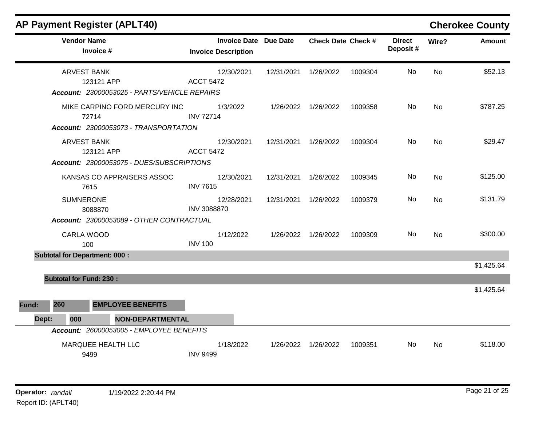| <b>AP Payment Register (APLT40)</b>                                                 |                                                            |                      |                           |         |                           |           | <b>Cherokee County</b> |
|-------------------------------------------------------------------------------------|------------------------------------------------------------|----------------------|---------------------------|---------|---------------------------|-----------|------------------------|
| <b>Vendor Name</b><br>Invoice #                                                     | <b>Invoice Date Due Date</b><br><b>Invoice Description</b> |                      | <b>Check Date Check #</b> |         | <b>Direct</b><br>Deposit# | Wire?     | <b>Amount</b>          |
| <b>ARVEST BANK</b><br>123121 APP<br>Account: 23000053025 - PARTS/VEHICLE REPAIRS    | 12/30/2021<br><b>ACCT 5472</b>                             | 12/31/2021 1/26/2022 |                           | 1009304 | No.                       | <b>No</b> | \$52.13                |
| MIKE CARPINO FORD MERCURY INC<br>72714<br>Account: 23000053073 - TRANSPORTATION     | 1/3/2022<br><b>INV 72714</b>                               |                      | 1/26/2022 1/26/2022       | 1009358 | No.                       | <b>No</b> | \$787.25               |
| <b>ARVEST BANK</b><br>123121 APP<br>Account: 23000053075 - DUES/SUBSCRIPTIONS       | 12/30/2021<br><b>ACCT 5472</b>                             | 12/31/2021           | 1/26/2022                 | 1009304 | No.                       | <b>No</b> | \$29.47                |
| KANSAS CO APPRAISERS ASSOC<br>7615                                                  | 12/30/2021<br><b>INV 7615</b>                              | 12/31/2021           | 1/26/2022                 | 1009345 | No                        | <b>No</b> | \$125.00               |
| <b>SUMNERONE</b><br>3088870<br>Account: 23000053089 - OTHER CONTRACTUAL             | 12/28/2021<br><b>INV 3088870</b>                           | 12/31/2021 1/26/2022 |                           | 1009379 | No.                       | No.       | \$131.79               |
| <b>CARLA WOOD</b><br>100                                                            | 1/12/2022<br><b>INV 100</b>                                |                      | 1/26/2022 1/26/2022       | 1009309 | No.                       | <b>No</b> | \$300.00               |
| <b>Subtotal for Department: 000:</b>                                                |                                                            |                      |                           |         |                           |           |                        |
| <b>Subtotal for Fund: 230:</b>                                                      |                                                            |                      |                           |         |                           |           | \$1,425.64             |
|                                                                                     |                                                            |                      |                           |         |                           |           | \$1,425.64             |
| 260<br><b>EMPLOYEE BENEFITS</b><br>Fund:<br>000<br><b>NON-DEPARTMENTAL</b><br>Dept: |                                                            |                      |                           |         |                           |           |                        |
| Account: 26000053005 - EMPLOYEE BENEFITS                                            |                                                            |                      |                           |         |                           |           |                        |
| MARQUEE HEALTH LLC<br>9499                                                          | 1/18/2022<br><b>INV 9499</b>                               | 1/26/2022            | 1/26/2022                 | 1009351 | No.                       | No        | \$118.00               |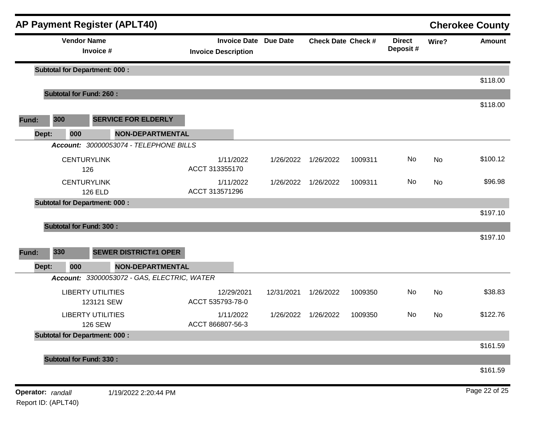|       |                                      |                                            | <b>AP Payment Register (APLT40)</b>         |                                                            |            |                           |         |                            |          | <b>Cherokee County</b> |
|-------|--------------------------------------|--------------------------------------------|---------------------------------------------|------------------------------------------------------------|------------|---------------------------|---------|----------------------------|----------|------------------------|
|       |                                      | <b>Vendor Name</b><br>Invoice #            |                                             | <b>Invoice Date Due Date</b><br><b>Invoice Description</b> |            | <b>Check Date Check #</b> |         | <b>Direct</b><br>Deposit # | Wire?    | <b>Amount</b>          |
|       | <b>Subtotal for Department: 000:</b> |                                            |                                             |                                                            |            |                           |         |                            |          | \$118.00               |
|       | <b>Subtotal for Fund: 260:</b>       |                                            |                                             |                                                            |            |                           |         |                            |          |                        |
| Fund: | 300                                  |                                            | <b>SERVICE FOR ELDERLY</b>                  |                                                            |            |                           |         |                            |          | \$118.00               |
| Dept: |                                      | 000                                        | <b>NON-DEPARTMENTAL</b>                     |                                                            |            |                           |         |                            |          |                        |
|       |                                      |                                            | Account: 30000053074 - TELEPHONE BILLS      |                                                            |            |                           |         |                            |          |                        |
|       | <b>CENTURYLINK</b><br>126            |                                            | 1/11/2022<br>ACCT 313355170                 | 1/26/2022                                                  | 1/26/2022  | 1009311                   | No      | No                         | \$100.12 |                        |
|       | <b>CENTURYLINK</b><br><b>126 ELD</b> |                                            | 1/11/2022<br>ACCT 313571296                 | 1/26/2022                                                  | 1/26/2022  | 1009311                   | No      | No                         | \$96.98  |                        |
|       | <b>Subtotal for Department: 000:</b> |                                            |                                             |                                                            |            |                           |         |                            |          | \$197.10               |
|       | <b>Subtotal for Fund: 300:</b>       |                                            |                                             |                                                            |            |                           |         |                            |          |                        |
|       |                                      |                                            |                                             |                                                            |            |                           |         |                            |          | \$197.10               |
| Fund: | 330                                  |                                            | <b>SEWER DISTRICT#1 OPER</b>                |                                                            |            |                           |         |                            |          |                        |
| Dept: |                                      | 000                                        | <b>NON-DEPARTMENTAL</b>                     |                                                            |            |                           |         |                            |          |                        |
|       |                                      |                                            | Account: 33000053072 - GAS, ELECTRIC, WATER |                                                            |            |                           |         |                            |          |                        |
|       |                                      | <b>LIBERTY UTILITIES</b><br>123121 SEW     |                                             | 12/29/2021<br>ACCT 535793-78-0                             | 12/31/2021 | 1/26/2022                 | 1009350 | No                         | No       | \$38.83                |
|       |                                      | <b>LIBERTY UTILITIES</b><br><b>126 SEW</b> |                                             | 1/11/2022<br>ACCT 866807-56-3                              | 1/26/2022  | 1/26/2022                 | 1009350 | No                         | No       | \$122.76               |
|       | <b>Subtotal for Department: 000:</b> |                                            |                                             |                                                            |            |                           |         |                            |          |                        |
|       |                                      |                                            |                                             |                                                            |            |                           |         |                            |          | \$161.59               |
|       | <b>Subtotal for Fund: 330:</b>       |                                            |                                             |                                                            |            |                           |         |                            |          | \$161.59               |
|       |                                      |                                            |                                             |                                                            |            |                           |         |                            |          |                        |
|       | Operator: randall                    |                                            | 1/19/2022 2:20:44 PM                        |                                                            |            |                           |         |                            |          | Page 22 of 25          |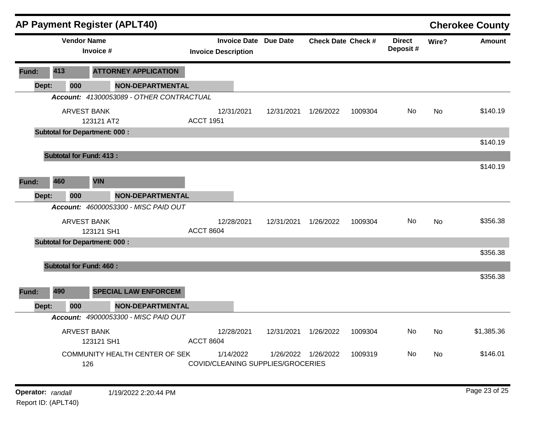|                   |                                | <b>AP Payment Register (APLT40)</b>      |                                                            |                      |                           |         |                           |       | <b>Cherokee County</b> |
|-------------------|--------------------------------|------------------------------------------|------------------------------------------------------------|----------------------|---------------------------|---------|---------------------------|-------|------------------------|
|                   | <b>Vendor Name</b>             | Invoice #                                | <b>Invoice Date Due Date</b><br><b>Invoice Description</b> |                      | <b>Check Date Check #</b> |         | <b>Direct</b><br>Deposit# | Wire? | <b>Amount</b>          |
| Fund:             | 413                            | <b>ATTORNEY APPLICATION</b>              |                                                            |                      |                           |         |                           |       |                        |
| Dept:             | 000                            | <b>NON-DEPARTMENTAL</b>                  |                                                            |                      |                           |         |                           |       |                        |
|                   |                                | Account: 41300053089 - OTHER CONTRACTUAL |                                                            |                      |                           |         |                           |       |                        |
|                   |                                | <b>ARVEST BANK</b><br>123121 AT2         | 12/31/2021<br><b>ACCT 1951</b>                             | 12/31/2021           | 1/26/2022                 | 1009304 | No                        | No    | \$140.19               |
|                   |                                | <b>Subtotal for Department: 000:</b>     |                                                            |                      |                           |         |                           |       |                        |
|                   |                                |                                          |                                                            |                      |                           |         |                           |       | \$140.19               |
|                   | <b>Subtotal for Fund: 413:</b> |                                          |                                                            |                      |                           |         |                           |       | \$140.19               |
| Fund:             | 460                            | <b>VIN</b>                               |                                                            |                      |                           |         |                           |       |                        |
| Dept:             | 000                            | <b>NON-DEPARTMENTAL</b>                  |                                                            |                      |                           |         |                           |       |                        |
|                   |                                | Account: 46000053300 - MISC PAID OUT     |                                                            |                      |                           |         |                           |       |                        |
|                   |                                | <b>ARVEST BANK</b><br>123121 SH1         | 12/28/2021<br><b>ACCT 8604</b>                             | 12/31/2021           | 1/26/2022                 | 1009304 | No.                       | No    | \$356.38               |
|                   |                                | <b>Subtotal for Department: 000:</b>     |                                                            |                      |                           |         |                           |       |                        |
|                   |                                |                                          |                                                            |                      |                           |         |                           |       | \$356.38               |
|                   | <b>Subtotal for Fund: 460:</b> |                                          |                                                            |                      |                           |         |                           |       |                        |
|                   |                                |                                          |                                                            |                      |                           |         |                           |       | \$356.38               |
| Fund:             | 490                            | <b>SPECIAL LAW ENFORCEM</b>              |                                                            |                      |                           |         |                           |       |                        |
| Dept:             | 000                            | <b>NON-DEPARTMENTAL</b>                  |                                                            |                      |                           |         |                           |       |                        |
|                   |                                | Account: 49000053300 - MISC PAID OUT     |                                                            |                      |                           |         |                           |       |                        |
|                   |                                | <b>ARVEST BANK</b><br>123121 SH1         | 12/28/2021<br><b>ACCT 8604</b>                             | 12/31/2021 1/26/2022 |                           | 1009304 | No                        | No    | \$1,385.36             |
|                   |                                | COMMUNITY HEALTH CENTER OF SEK<br>126    | 1/14/2022<br>COVID/CLEANING SUPPLIES/GROCERIES             |                      | 1/26/2022 1/26/2022       | 1009319 | No                        | No    | \$146.01               |
| Operator: randall |                                | 1/19/2022 2:20:44 PM                     |                                                            |                      |                           |         |                           |       | Page 23 of 25          |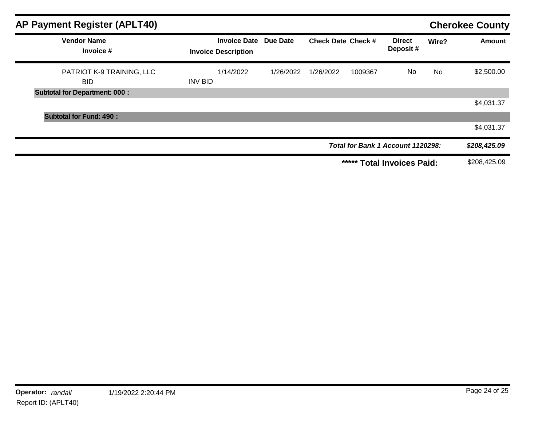| AP Payment Register (APLT40)            |                |                                                            |           |                           |         |                                   |       | <b>Cherokee County</b> |
|-----------------------------------------|----------------|------------------------------------------------------------|-----------|---------------------------|---------|-----------------------------------|-------|------------------------|
| <b>Vendor Name</b><br>Invoice #         |                | <b>Invoice Date Due Date</b><br><b>Invoice Description</b> |           | <b>Check Date Check #</b> |         | <b>Direct</b><br>Deposit#         | Wire? | <b>Amount</b>          |
| PATRIOT K-9 TRAINING, LLC<br><b>BID</b> | <b>INV BID</b> | 1/14/2022                                                  | 1/26/2022 | 1/26/2022                 | 1009367 | No                                | No    | \$2,500.00             |
| <b>Subtotal for Department: 000:</b>    |                |                                                            |           |                           |         |                                   |       |                        |
|                                         |                |                                                            |           |                           |         |                                   |       | \$4,031.37             |
| <b>Subtotal for Fund: 490:</b>          |                |                                                            |           |                           |         |                                   |       |                        |
|                                         |                |                                                            |           |                           |         |                                   |       | \$4,031.37             |
|                                         |                |                                                            |           |                           |         | Total for Bank 1 Account 1120298: |       | \$208,425.09           |
|                                         |                |                                                            |           |                           | *****   | <b>Total Invoices Paid:</b>       |       | \$208,425.09           |